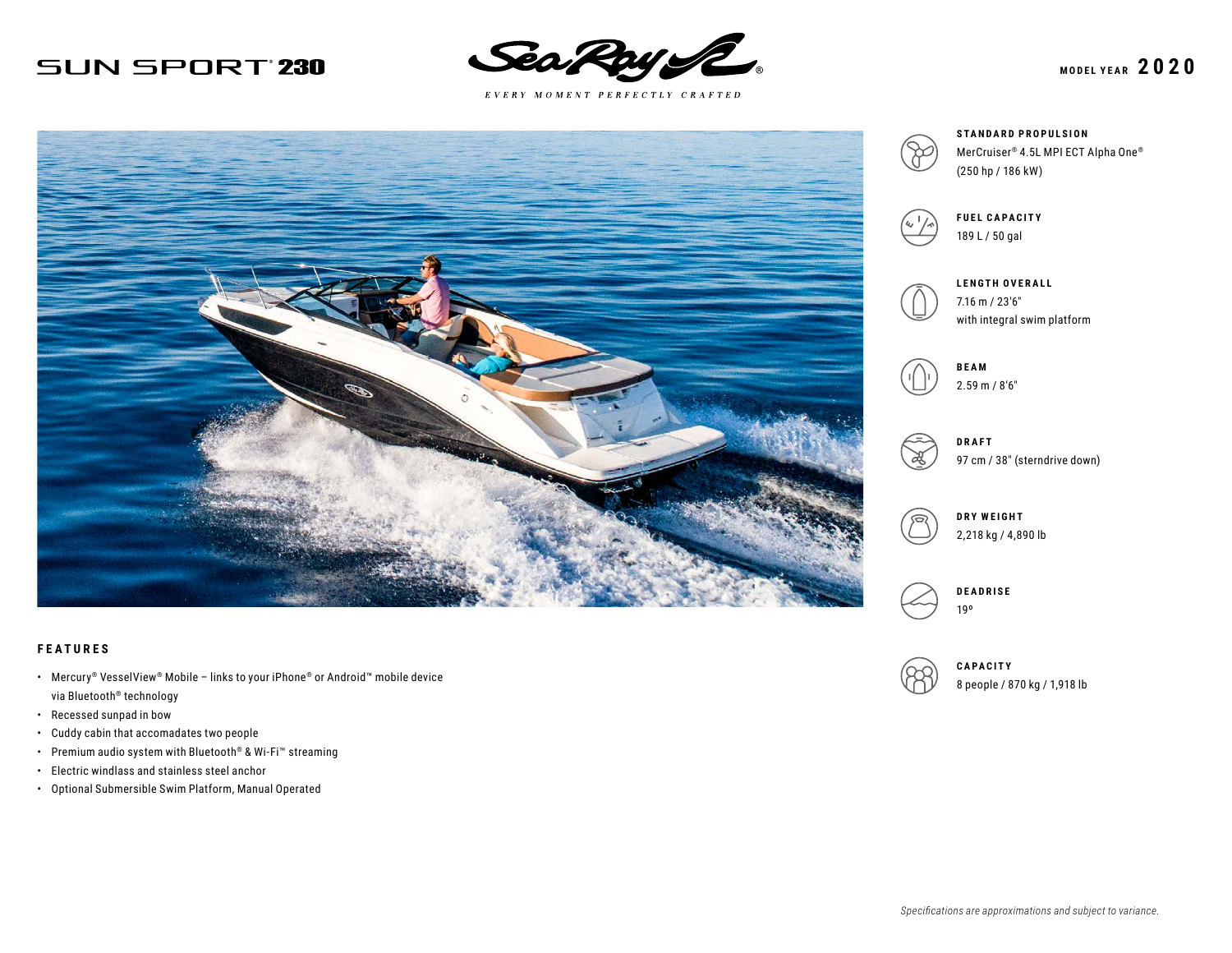# **SUN SPORT 230**



 $E \; V \; E \; R \; Y \quad M \; O \; M \; E \; N \; T \quad P \; E \; R \; F \; E \; C \; T \; L \; Y \quad C \; R \; A \; F \; T \; E \; D$ 



### **FEATURES**

- Mercury® VesselView® Mobile links to your iPhone® or Android™ mobile device via Bluetooth® technology
- Recessed sunpad in bow
- Cuddy cabin that accomadates two people
- Premium audio system with Bluetooth® & Wi-Fi™ streaming
- Electric windlass and stainless steel anchor
- Optional Submersible Swim Platform, Manual Operated





**FUEL CAPACITY** 189 L / 50 gal

|  | LE  |
|--|-----|
|  | 7.1 |
|  | wi  |

**LENGTH OVERALL** 7.16 m / 23′6″ ith integral swim platform



**DRAFT** 97 cm / 38″ (sterndrive down)

**DRY WEIGHT** 2,218 kg / 4,890 lb



**CAPACITY** 8 people / 870 kg / 1,918 lb